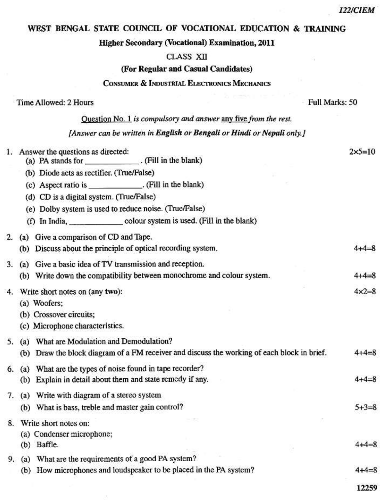## WEST BENGAL STATE COUNCIL OF VOCATIONAL EDUCATION & TRAINING

#### **Higher Secondary (Vocational) Examination, 2011**

## CLASS XII

# (For Regular and Casual Candidates)

## CONSUMER & INDUSTRIAL ELECTRONICS MECHANICS

| Time Allowed: 2 Hours |  |  |
|-----------------------|--|--|
|-----------------------|--|--|

Full Marks: 50

Ouestion No. 1 is compulsory and answer any five from the rest. [Answer can be written in English or Bengali or Hindi or Nepali only.]

|    | 1. Answer the questions as directed:<br>(a) PA stands for ______________. (Fill in the blank) |                                                                                             | $2x5=10$         |
|----|-----------------------------------------------------------------------------------------------|---------------------------------------------------------------------------------------------|------------------|
|    | (b) Diode acts as rectifier. (True/False)                                                     |                                                                                             |                  |
|    | (c) Aspect ratio is _____________. (Fill in the blank)                                        |                                                                                             |                  |
|    | (d) CD is a digital system. (True/False)                                                      |                                                                                             |                  |
|    | (e) Dolby system is used to reduce noise. (True/False)                                        |                                                                                             |                  |
|    |                                                                                               |                                                                                             |                  |
| 2. | (a) Give a comparison of CD and Tape.                                                         |                                                                                             |                  |
|    | (b) Discuss about the principle of optical recording system.                                  |                                                                                             | $4 + 4 - 1$      |
| 3. | (a) Give a basic idea of TV transmission and reception.                                       |                                                                                             |                  |
|    | (b) Write down the compatibility between monochrome and colour system.                        |                                                                                             | 4+4=8            |
|    | 4. Write short notes on (any two):                                                            |                                                                                             | $4 \times 2 = 8$ |
|    | (a) Woofers;                                                                                  |                                                                                             |                  |
|    | (b) Crossover circuits;                                                                       |                                                                                             |                  |
|    | (c) Microphone characteristics.                                                               |                                                                                             |                  |
| 5. | (a) What are Modulation and Demodulation?                                                     |                                                                                             |                  |
|    |                                                                                               | (b) Draw the block diagram of a FM receiver and discuss the working of each block in brief. | 4+4≕ŏ            |
| 6. | (a) What are the types of noise found in tape recorder?                                       |                                                                                             |                  |
|    | (b) Explain in detail about them and state remedy if any.                                     |                                                                                             | $4 + 4 = 8$      |
|    | 7. (a) Write with diagram of a stereo system                                                  |                                                                                             |                  |
|    | (b) What is bass, treble and master gain control?                                             |                                                                                             | $5 + 3 = 8$      |
|    | 8. Write short notes on:                                                                      |                                                                                             |                  |
|    | (a) Condenser microphone;                                                                     |                                                                                             |                  |
|    | (b) Baffle.                                                                                   |                                                                                             | $4 + 4 = 8$      |
|    | 9. (a) What are the requirements of a good PA system?                                         |                                                                                             |                  |
|    | (b) How microphones and loudspeaker to be placed in the PA system?                            |                                                                                             | $4 + 4 = 8$      |
|    |                                                                                               |                                                                                             | 12259            |